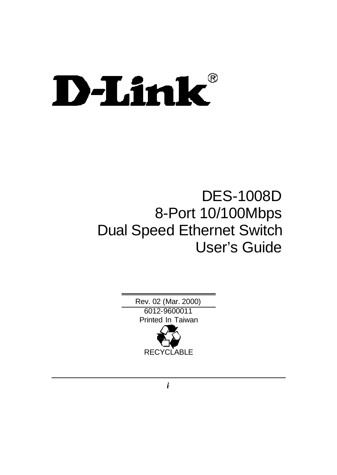# D-Link®

# DES-1008D 8-Port 10/100Mbps Dual Speed Ethernet Switch User's Guide

Rev. 02 (Mar. 2000) 6012-9600011 Printed In Taiwan **RECYCLABLE** 

*i*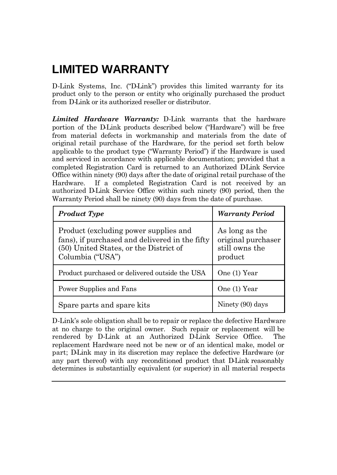# **LIMITED WARRANTY**

D-Link Systems, Inc. ("D-Link") provides this limited warranty for its product only to the person or entity who originally purchased the product from D-Link or its authorized reseller or distributor.

*Limited Hardware Warranty:* D-Link warrants that the hardware portion of the D-Link products described below ("Hardware") will be free from material defects in workmanship and materials from the date of original retail purchase of the Hardware, for the period set forth below applicable to the product type ("Warranty Period") if the Hardware is used and serviced in accordance with applicable documentation; provided that a completed Registration Card is returned to an Authorized DLink Service Office within ninety (90) days after the date of original retail purchase of the Hardware. If a completed Registration Card is not received by an authorized D-Link Service Office within such ninety (90) period, then the Warranty Period shall be ninety (90) days from the date of purchase.

| <b>Product Type</b>                                                                                                                                   | <b>Warranty Period</b>                                            |
|-------------------------------------------------------------------------------------------------------------------------------------------------------|-------------------------------------------------------------------|
| Product (excluding power supplies and<br>fans), if purchased and delivered in the fifty<br>(50) United States, or the District of<br>Columbia ("USA") | As long as the<br>original purchaser<br>still owns the<br>product |
| Product purchased or delivered outside the USA                                                                                                        | One (1) Year                                                      |
| Power Supplies and Fans                                                                                                                               | One (1) Year                                                      |
| Spare parts and spare kits                                                                                                                            | Ninety (90) days                                                  |

D-Link's sole obligation shall be to repair or replace the defective Hardware at no charge to the original owner. Such repair or replacement will be rendered by D-Link at an Authorized D-Link Service Office. The replacement Hardware need not be new or of an identical make, model or part; D-Link may in its discretion may replace the defective Hardware (or any part thereof) with any reconditioned product that D-Link reasonably determines is substantially equivalent (or superior) in all material respects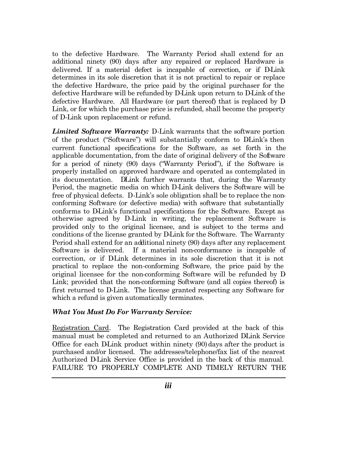to the defective Hardware. The Warranty Period shall extend for an additional ninety (90) days after any repaired or replaced Hardware is delivered. If a material defect is incapable of correction, or if D-Link determines in its sole discretion that it is not practical to repair or replace the defective Hardware, the price paid by the original purchaser for the defective Hardware will be refunded by D-Link upon return to D-Link of the defective Hardware. All Hardware (or part thereof) that is replaced by D-Link, or for which the purchase price is refunded, shall become the property of D-Link upon replacement or refund.

*Limited Software Warranty:* D-Link warrants that the software portion of the product ("Software") will substantially conform to DLink's then current functional specifications for the Software, as set forth in the applicable documentation, from the date of original delivery of the Software for a period of ninety (90) days ("Warranty Period"), if the Software is properly installed on approved hardware and operated as contemplated in its documentation. DLink further warrants that, during the Warranty Period, the magnetic media on which D-Link delivers the Software will be free of physical defects. D-Link's sole obligation shall be to replace the nonconforming Software (or defective media) with software that substantially conforms to D-Link's functional specifications for the Software. Except as otherwise agreed by D-Link in writing, the replacement Software is provided only to the original licensee, and is subject to the terms and conditions of the license granted by D-Link for the Software. The Warranty Period shall extend for an additional ninety (90) days after any replacement Software is delivered. If a material non-conformance is incapable of correction, or if DLink determines in its sole discretion that it is not practical to replace the non-conforming Software, the price paid by the original licensee for the non-conforming Software will be refunded by D-Link; provided that the non-conforming Software (and all copies thereof) is first returned to D-Link. The license granted respecting any Software for which a refund is given automatically terminates.

#### *What You Must Do For Warranty Service:*

Registration Card. The Registration Card provided at the back of this manual must be completed and returned to an Authorized DLink Service Office for each D-Link product within ninety  $(90)$  days after the product is purchased and/or licensed. The addresses/telephone/fax list of the nearest Authorized D-Link Service Office is provided in the back of this manual. FAILURE TO PROPERLY COMPLETE AND TIMELY RETURN THE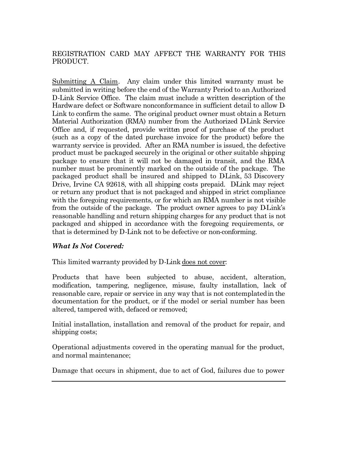#### REGISTRATION CARD MAY AFFECT THE WARRANTY FOR THIS PRODUCT.

Submitting A Claim. Any claim under this limited warranty must be submitted in writing before the end of the Warranty Period to an Authorized D-Link Service Office. The claim must include a written description of the Hardware defect or Software nonconformance in sufficient detail to allow D-Link to confirm the same. The original product owner must obtain a Return Material Authorization (RMA) number from the Authorized D-Link Service Office and, if requested, provide written proof of purchase of the product (such as a copy of the dated purchase invoice for the product) before the warranty service is provided. After an RMA number is issued, the defective product must be packaged securely in the original or other suitable shipping package to ensure that it will not be damaged in transit, and the RMA number must be prominently marked on the outside of the package. The packaged product shall be insured and shipped to DLink, 53 Discovery Drive, Irvine CA 92618, with all shipping costs prepaid. D-Link may reject or return any product that is not packaged and shipped in strict compliance with the foregoing requirements, or for which an RMA number is not visible from the outside of the package. The product owner agrees to pay DLink's reasonable handling and return shipping charges for any product that is not packaged and shipped in accordance with the foregoing requirements, or that is determined by D-Link not to be defective or non-conforming.

#### *What Is Not Covered:*

This limited warranty provided by D-Link does not cover:

Products that have been subjected to abuse, accident, alteration, modification, tampering, negligence, misuse, faulty installation, lack of reasonable care, repair or service in any way that is not contemplated in the documentation for the product, or if the model or serial number has been altered, tampered with, defaced or removed;

Initial installation, installation and removal of the product for repair, and shipping costs;

Operational adjustments covered in the operating manual for the product, and normal maintenance;

Damage that occurs in shipment, due to act of God, failures due to power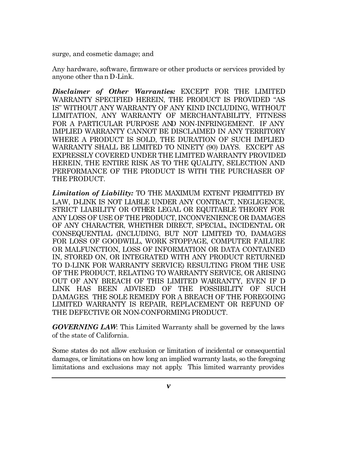surge, and cosmetic damage; and

Any hardware, software, firmware or other products or services provided by anyone other than D-Link.

*Disclaimer of Other Warranties:* EXCEPT FOR THE LIMITED WARRANTY SPECIFIED HEREIN, THE PRODUCT IS PROVIDED "AS-IS" WITHOUT ANY WARRANTY OF ANY KIND INCLUDING, WITHOUT LIMITATION, ANY WARRANTY OF MERCHANTABILITY, FITNESS FOR A PARTICULAR PURPOSE AND NON-INFRINGEMENT. IF ANY IMPLIED WARRANTY CANNOT BE DISCLAIMED IN ANY TERRITORY WHERE A PRODUCT IS SOLD, THE DURATION OF SUCH IMPLIED WARRANTY SHALL BE LIMITED TO NINETY (90) DAYS. EXCEPT AS EXPRESSLY COVERED UNDER THE LIMITED WARRANTY PROVIDED HEREIN, THE ENTIRE RISK AS TO THE QUALITY, SELECTION AND PERFORMANCE OF THE PRODUCT IS WITH THE PURCHASER OF THE PRODUCT.

*Limitation of Liability:* TO THE MAXIMUM EXTENT PERMITTED BY LAW, D-LINK IS NOT LIABLE UNDER ANY CONTRACT, NEGLIGENCE, STRICT LIABILITY OR OTHER LEGAL OR EQUITABLE THEORY FOR ANY LOSS OF USE OF THE PRODUCT, INCONVENIENCE OR DAMAGES OF ANY CHARACTER, WHETHER DIRECT, SPECIAL, INCIDENTAL OR CONSEQUENTIAL (INCLUDING, BUT NOT LIMITED TO, DAMAGES FOR LOSS OF GOODWILL, WORK STOPPAGE, COMPUTER FAILURE OR MALFUNCTION, LOSS OF INFORMATION OR DATA CONTAINED IN, STORED ON, OR INTEGRATED WITH ANY PRODUCT RETURNED TO D-LINK FOR WARRANTY SERVICE) RESULTING FROM THE USE OF THE PRODUCT, RELATING TO WARRANTY SERVICE, OR ARISING OUT OF ANY BREACH OF THIS LIMITED WARRANTY, EVEN IF D-LINK HAS BEEN ADVISED OF THE POSSIBILITY OF SUCH DAMAGES. THE SOLE REMEDY FOR A BREACH OF THE FOREGOING LIMITED WARRANTY IS REPAIR, REPLACEMENT OR REFUND OF THE DEFECTIVE OR NON-CONFORMING PRODUCT.

*GOVERNING LAW*: This Limited Warranty shall be governed by the laws of the state of California.

Some states do not allow exclusion or limitation of incidental or consequential damages, or limitations on how long an implied warranty lasts, so the foregoing limitations and exclusions may not apply. This limited warranty provides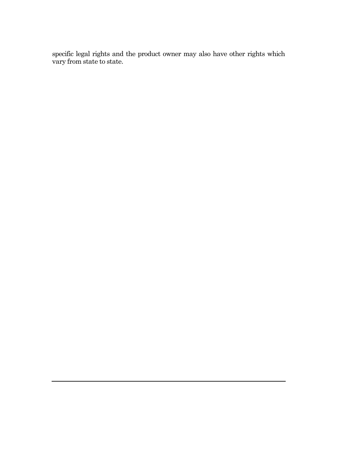specific legal rights and the product owner may also have other rights which vary from state to state.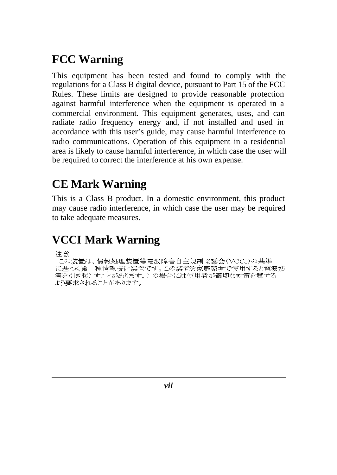# **FCC Warning**

This equipment has been tested and found to comply with the regulations for a Class B digital device, pursuant to Part 15 of the FCC Rules. These limits are designed to provide reasonable protection against harmful interference when the equipment is operated in a commercial environment. This equipment generates, uses, and can radiate radio frequency energy and, if not installed and used in accordance with this user's guide, may cause harmful interference to radio communications. Operation of this equipment in a residential area is likely to cause harmful interference, in which case the user will be required to correct the interference at his own expense.

# **CE Mark Warning**

This is a Class B product. In a domestic environment, this product may cause radio interference, in which case the user may be required to take adequate measures.

# **VCCI Mark Warning**

注意

この装置は、情報処理装置等電波障害自主規制協議会(VCCI)の基準 に基づく第一種情報技術装置です。この装置を家庭環境で使用すると電波妨 に当っ、ファー『島市などのでは、この場合には使用者が適切な対策を講ずる<br>害を引き起こすことがあります。この場合には使用者が適切な対策を講ずる<br>よう要求されることがあります。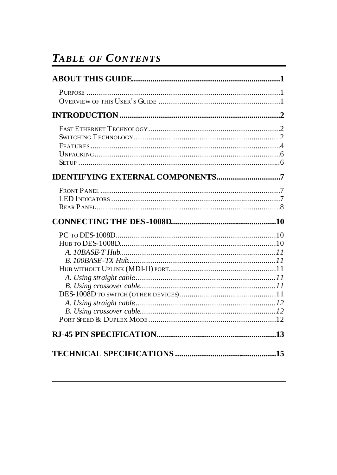# **TABLE OF CONTENTS**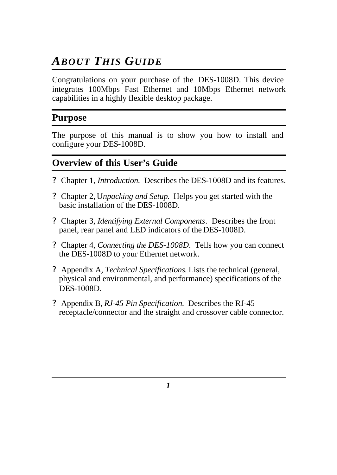# *ABOUT THIS GUIDE*

Congratulations on your purchase of the DES-1008D. This device integrates 100Mbps Fast Ethernet and 10Mbps Ethernet network capabilities in a highly flexible desktop package.

#### **Purpose**

The purpose of this manual is to show you how to install and configure your DES-1008D.

#### **Overview of this User's Guide**

- ? Chapter 1, *Introduction*. Describes the DES-1008D and its features.
- ? Chapter 2, U*npacking and Setup*. Helps you get started with the basic installation of the DES-1008D.
- ? Chapter 3, *Identifying External Components*. Describes the front panel, rear panel and LED indicators of the DES-1008D.
- ? Chapter 4, *Connecting the DES-1008D*. Tells how you can connect the DES-1008D to your Ethernet network.
- ? Appendix A, *Technical Specifications.* Lists the technical (general, physical and environmental, and performance) specifications of the DES-1008D.
- ? Appendix B, *RJ-45 Pin Specification.* Describes the RJ-45 receptacle/connector and the straight and crossover cable connector.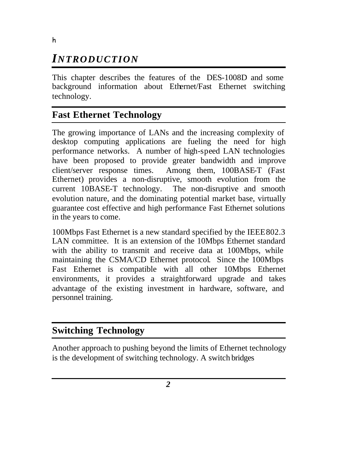# *INTRODUCTION*

This chapter describes the features of the DES-1008D and some background information about Ethernet/Fast Ethernet switching technology.

#### **Fast Ethernet Technology**

The growing importance of LANs and the increasing complexity of desktop computing applications are fueling the need for high performance networks. A number of high-speed LAN technologies have been proposed to provide greater bandwidth and improve client/server response times. Among them, 100BASE-T (Fast Ethernet) provides a non-disruptive, smooth evolution from the current 10BASE-T technology. The non-disruptive and smooth evolution nature, and the dominating potential market base, virtually guarantee cost effective and high performance Fast Ethernet solutions in the years to come.

100Mbps Fast Ethernet is a new standard specified by the IEEE 802.3 LAN committee. It is an extension of the 10Mbps Ethernet standard with the ability to transmit and receive data at 100Mbps, while maintaining the CSMA/CD Ethernet protocol. Since the 100Mbps Fast Ethernet is compatible with all other 10Mbps Ethernet environments, it provides a straightforward upgrade and takes advantage of the existing investment in hardware, software, and personnel training.

#### **Switching Technology**

Another approach to pushing beyond the limits of Ethernet technology is the development of switching technology. A switch bridges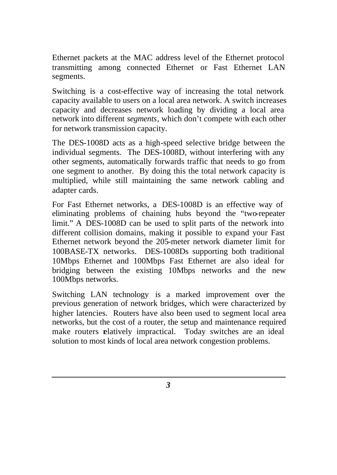Ethernet packets at the MAC address level of the Ethernet protocol transmitting among connected Ethernet or Fast Ethernet LAN segments.

Switching is a cost-effective way of increasing the total network capacity available to users on a local area network. A switch increases capacity and decreases network loading by dividing a local area network into different *segments*, which don't compete with each other for network transmission capacity.

The DES-1008D acts as a high-speed selective bridge between the individual segments. The DES-1008D, without interfering with any other segments, automatically forwards traffic that needs to go from one segment to another. By doing this the total network capacity is multiplied, while still maintaining the same network cabling and adapter cards.

For Fast Ethernet networks, a DES-1008D is an effective way of eliminating problems of chaining hubs beyond the "two-repeater limit." A DES-1008D can be used to split parts of the network into different collision domains, making it possible to expand your Fast Ethernet network beyond the 205-meter network diameter limit for 100BASE-TX networks. DES-1008Ds supporting both traditional 10Mbps Ethernet and 100Mbps Fast Ethernet are also ideal for bridging between the existing 10Mbps networks and the new 100Mbps networks.

Switching LAN technology is a marked improvement over the previous generation of network bridges, which were characterized by higher latencies. Routers have also been used to segment local area networks, but the cost of a router, the setup and maintenance required make routers elatively impractical. Today switches are an ideal solution to most kinds of local area network congestion problems.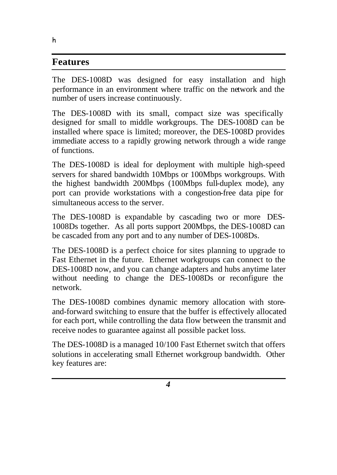#### **Features**

The DES-1008D was designed for easy installation and high performance in an environment where traffic on the network and the number of users increase continuously.

The DES-1008D with its small, compact size was specifically designed for small to middle workgroups. The DES-1008D can be installed where space is limited; moreover, the DES-1008D provides immediate access to a rapidly growing network through a wide range of functions.

The DES-1008D is ideal for deployment with multiple high-speed servers for shared bandwidth 10Mbps or 100Mbps workgroups. With the highest bandwidth 200Mbps (100Mbps full-duplex mode), any port can provide workstations with a congestion-free data pipe for simultaneous access to the server.

The DES-1008D is expandable by cascading two or more DES-1008Ds together. As all ports support 200Mbps, the DES-1008D can be cascaded from any port and to any number of DES-1008Ds.

The DES-1008D is a perfect choice for sites planning to upgrade to Fast Ethernet in the future. Ethernet workgroups can connect to the DES-1008D now, and you can change adapters and hubs anytime later without needing to change the DES-1008Ds or reconfigure the network.

The DES-1008D combines dynamic memory allocation with storeand-forward switching to ensure that the buffer is effectively allocated for each port, while controlling the data flow between the transmit and receive nodes to guarantee against all possible packet loss.

The DES-1008D is a managed 10/100 Fast Ethernet switch that offers solutions in accelerating small Ethernet workgroup bandwidth. Other key features are:

h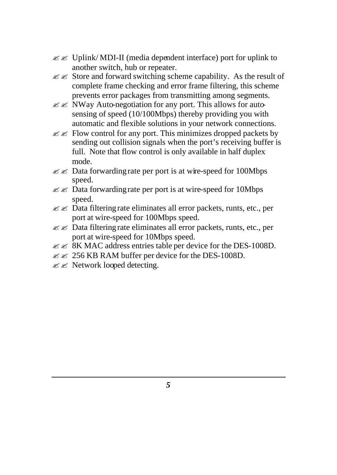- $\mathscr{L} \mathscr{L}$  Uplink/MDI-II (media dependent interface) port for uplink to another switch, hub or repeater.
- $\mathscr{L}$   $\mathscr{L}$  Store and forward switching scheme capability. As the result of complete frame checking and error frame filtering, this scheme prevents error packages from transmitting among segments.
- $\mathscr{L}$  NWay Auto-negotiation for any port. This allows for autosensing of speed (10/100Mbps) thereby providing you with automatic and flexible solutions in your network connections.
- $\mathscr{L}$  Flow control for any port. This minimizes dropped packets by sending out collision signals when the port's receiving buffer is full. Note that flow control is only available in half duplex mode.
- $\mathscr{L} \mathscr{L}$  Data forwarding rate per port is at wire-speed for 100Mbps speed.
- $\mathscr{L}$   $\mathscr{L}$  Data forwarding rate per port is at wire-speed for 10Mbps speed.
- $\mathscr{L} \mathscr{L}$  Data filtering rate eliminates all error packets, runts, etc., per port at wire-speed for 100Mbps speed.
- $\mathscr{L} \mathscr{L}$  Data filtering rate eliminates all error packets, runts, etc., per port at wire-speed for 10Mbps speed.
- $\mathscr{L} \mathscr{L}$  8K MAC address entries table per device for the DES-1008D.
- $\mathscr{L} \mathscr{L}$  256 KB RAM buffer per device for the DES-1008D.
- $\mathscr{L} \mathscr{L}$  Network looped detecting.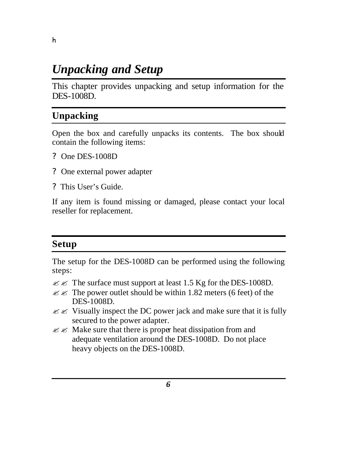# *Unpacking and Setup*

This chapter provides unpacking and setup information for the DES-1008D.

#### **Unpacking**

Open the box and carefully unpacks its contents. The box should contain the following items:

- ? One DES-1008D
- ? One external power adapter
- ? This User's Guide.

If any item is found missing or damaged, please contact your local reseller for replacement.

#### **Setup**

The setup for the DES-1008D can be performed using the following steps:

- $\mathcal{Z} \mathcal{Z}$  The surface must support at least 1.5 Kg for the DES-1008D.
- $\mathscr{L}$  The power outlet should be within 1.82 meters (6 feet) of the DES-1008D.
- $\mathscr{L}$  Visually inspect the DC power jack and make sure that it is fully secured to the power adapter.
- $\mathscr{L} \mathscr{L}$  Make sure that there is proper heat dissipation from and adequate ventilation around the DES-1008D. Do not place heavy objects on the DES-1008D.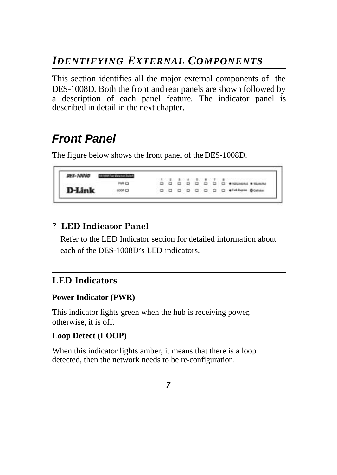# *IDENTIFYING EXTERNAL COMPONENTS*

This section identifies all the major external components of the DES-1008D. Both the front and rear panels are shown followed by a description of each panel feature. The indicator panel is described in detail in the next chapter.

# *Front Panel*

The figure below shows the front panel of the DES-1008D.

#### DES-1008D DISSURGENCES **PRAY CO.** D-Link 000000000 + HANH BOAM LOOP ID

#### ? **LED Indicator Panel**

Refer to the LED Indicator section for detailed information about each of the DES-1008D's LED indicators.

## **LED Indicators**

#### **Power Indicator (PWR)**

This indicator lights green when the hub is receiving power, otherwise, it is off.

#### **Loop Detect (LOOP)**

When this indicator lights amber, it means that there is a loop detected, then the network needs to be re-configuration.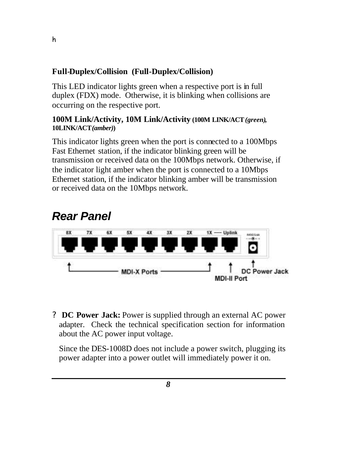#### **Full-Duplex/Collision (Full-Duplex/Collision)**

This LED indicator lights green when a respective port is in full duplex (FDX) mode. Otherwise, it is blinking when collisions are occurring on the respective port.

#### **100M Link/Activity, 10M Link/Activity (100M LINK/ACT***(green)***, 10LINK/ACT***(amber)***)**

This indicator lights green when the port is connected to a 100Mbps Fast Ethernet station, if the indicator blinking green will be transmission or received data on the 100Mbps network. Otherwise, if the indicator light amber when the port is connected to a 10Mbps Ethernet station, if the indicator blinking amber will be transmission or received data on the 10Mbps network.

# *Rear Panel*

h



? **DC Power Jack:** Power is supplied through an external AC power adapter. Check the technical specification section for information about the AC power input voltage.

Since the DES-1008D does not include a power switch, plugging its power adapter into a power outlet will immediately power it on.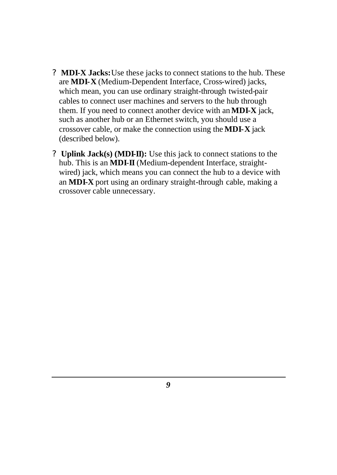- ? **MDI-X Jacks:**Use these jacks to connect stations to the hub. These are **MDI-X** (Medium-Dependent Interface, Cross-wired) jacks, which mean, you can use ordinary straight-through twisted-pair cables to connect user machines and servers to the hub through them. If you need to connect another device with an **MDI-X** jack, such as another hub or an Ethernet switch, you should use a crossover cable, or make the connection using the **MDI-X** jack (described below).
- ? **Uplink Jack(s) (MDI-II):** Use this jack to connect stations to the hub. This is an **MDI**-**II** (Medium-dependent Interface, straightwired) jack, which means you can connect the hub to a device with an **MDI-X** port using an ordinary straight-through cable, making a crossover cable unnecessary.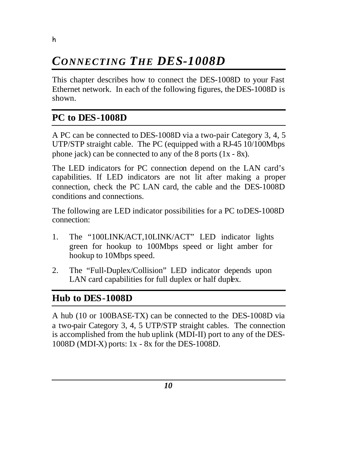# *CONNECTING THE DES-1008D*

This chapter describes how to connect the DES-1008D to your Fast Ethernet network. In each of the following figures, the DES-1008D is shown.

## **PC to DES-1008D**

h

A PC can be connected to DES-1008D via a two-pair Category 3, 4, 5 UTP/STP straight cable. The PC (equipped with a RJ-45 10/100Mbps phone jack) can be connected to any of the 8 ports (1x - 8x).

The LED indicators for PC connection depend on the LAN card's capabilities. If LED indicators are not lit after making a proper connection, check the PC LAN card, the cable and the DES-1008D conditions and connections.

The following are LED indicator possibilities for a PC toDES-1008D connection:

- 1. The "100LINK/ACT,10LINK/ACT" LED indicator lights green for hookup to 100Mbps speed or light amber for hookup to 10Mbps speed.
- 2. The "Full-Duplex/Collision" LED indicator depends upon LAN card capabilities for full duplex or half duplex.

## **Hub to DES-1008D**

A hub (10 or 100BASE-TX) can be connected to the DES-1008D via a two-pair Category 3, 4, 5 UTP/STP straight cables. The connection is accomplished from the hub uplink (MDI-II) port to any of the DES-1008D (MDI-X) ports: 1x - 8x for the DES-1008D.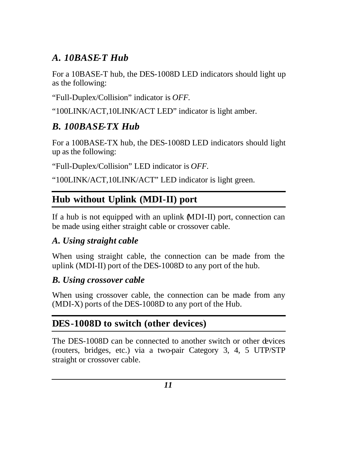## *A. 10BASE-T Hub*

For a 10BASE-T hub, the DES-1008D LED indicators should light up as the following:

"Full-Duplex/Collision" indicator is *OFF.*

"100LINK/ACT,10LINK/ACT LED" indicator is light amber.

## *B. 100BASE-TX Hub*

For a 100BASE-TX hub, the DES-1008D LED indicators should light up as the following:

"Full-Duplex/Collision" LED indicator is *OFF.*

"100LINK/ACT,10LINK/ACT" LED indicator is light green.

# **Hub without Uplink (MDI-II) port**

If a hub is not equipped with an uplink (MDI-II) port, connection can be made using either straight cable or crossover cable.

## *A. Using straight cable*

When using straight cable, the connection can be made from the uplink (MDI-II) port of the DES-1008D to any port of the hub.

#### *B. Using crossover cable*

When using crossover cable, the connection can be made from any (MDI-X) ports of the DES-1008D to any port of the Hub.

## **DES-1008D to switch (other devices)**

The DES-1008D can be connected to another switch or other devices (routers, bridges, etc.) via a two-pair Category 3, 4, 5 UTP/STP straight or crossover cable.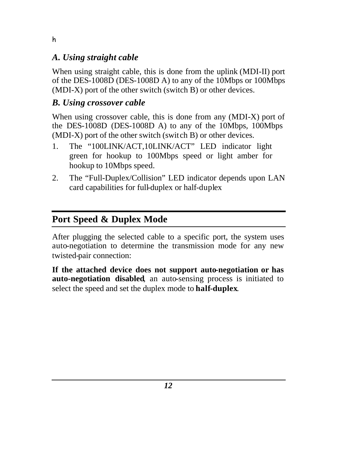#### *A. Using straight cable*

When using straight cable, this is done from the uplink (MDI-II) port of the DES-1008D (DES-1008D A) to any of the 10Mbps or 100Mbps (MDI-X) port of the other switch (switch B) or other devices.

#### *B. Using crossover cable*

When using crossover cable, this is done from any (MDI-X) port of the DES-1008D (DES-1008D A) to any of the 10Mbps, 100Mbps (MDI-X) port of the other switch (switch B) or other devices.

- 1. The "100LINK/ACT,10LINK/ACT" LED indicator light green for hookup to 100Mbps speed or light amber for hookup to 10Mbps speed.
- 2. The "Full-Duplex/Collision" LED indicator depends upon LAN card capabilities for full-duplex or half-duplex

## **Port Speed & Duplex Mode**

After plugging the selected cable to a specific port, the system uses auto-negotiation to determine the transmission mode for any new twisted-pair connection:

**If the attached device does not support auto-negotiation or has auto-negotiation disabled**, an auto-sensing process is initiated to select the speed and set the duplex mode to **half-duplex**.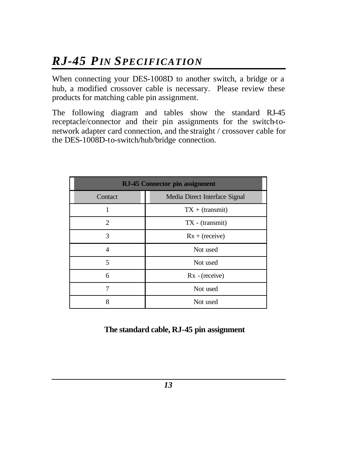# *RJ-45 PIN SPECIFICATION*

When connecting your DES-1008D to another switch, a bridge or a hub, a modified crossover cable is necessary. Please review these products for matching cable pin assignment.

The following diagram and tables show the standard RJ-45 receptacle/connector and their pin assignments for the switch-tonetwork adapter card connection, and the straight / crossover cable for the DES-1008D-to-switch/hub/bridge connection.

| <b>RJ-45 Connector pin assignment</b> |                               |
|---------------------------------------|-------------------------------|
| Contact                               | Media Direct Interface Signal |
|                                       | $TX + (transmit)$             |
| っ                                     | $TX - (transmit)$             |
| 3                                     | $Rx + (receive)$              |
| Δ                                     | Not used                      |
| 5                                     | Not used                      |
| 6                                     | $Rx - (receive)$              |
| 7                                     | Not used                      |
| 8                                     | Not used                      |

#### **The standard cable, RJ-45 pin assignment**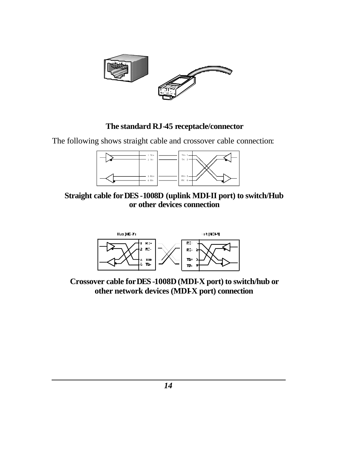

#### **The standard RJ-45 receptacle/connector**

The following shows straight cable and crossover cable connection:



**Straight cable for DES -1008D (uplink MDI-II port) to switch/Hub or other devices connection**



**Crossover cable for DES -1008D (MDI-X port) to switch/hub or other network devices (MDI-X port) connection**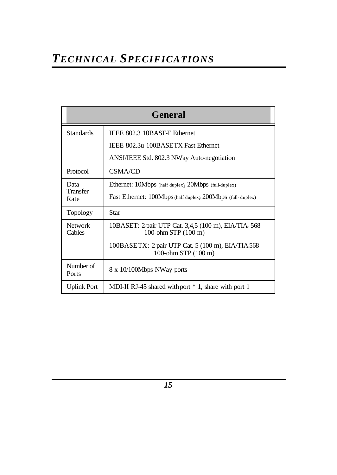| General            |                                                                                         |
|--------------------|-----------------------------------------------------------------------------------------|
| <b>Standards</b>   | IEEE 802.3 10BASET Ethernet                                                             |
|                    | IEEE 802.3u 100BASETX Fast Ethernet                                                     |
|                    | ANSI/IEEE Std. 802.3 NWay Auto-negotiation                                              |
| Protocol           | <b>CSMA/CD</b>                                                                          |
| Data               | Ethernet: 10Mbps (half duplex), 20Mbps (full-duplex)                                    |
| Transfer<br>Rate   | Fast Ethernet: 100Mbps (half duplex), 200Mbps (full-duplex)                             |
| Topology           | Star                                                                                    |
| Network<br>Cables  | 10BASET: 2-pair UTP Cat. 3,4,5 (100 m), EIA/TIA-568<br>$100$ -ohm STP $(100 \text{ m})$ |
|                    | 100BASE-TX: 2-pair UTP Cat. 5 (100 m), EIA/TIA-568<br>100-ohm STP (100 m)               |
| Number of<br>Ports | 8 x 10/100Mbps NWay ports                                                               |
| <b>Uplink Port</b> | MDI-II RJ-45 shared with port *1, share with port 1                                     |